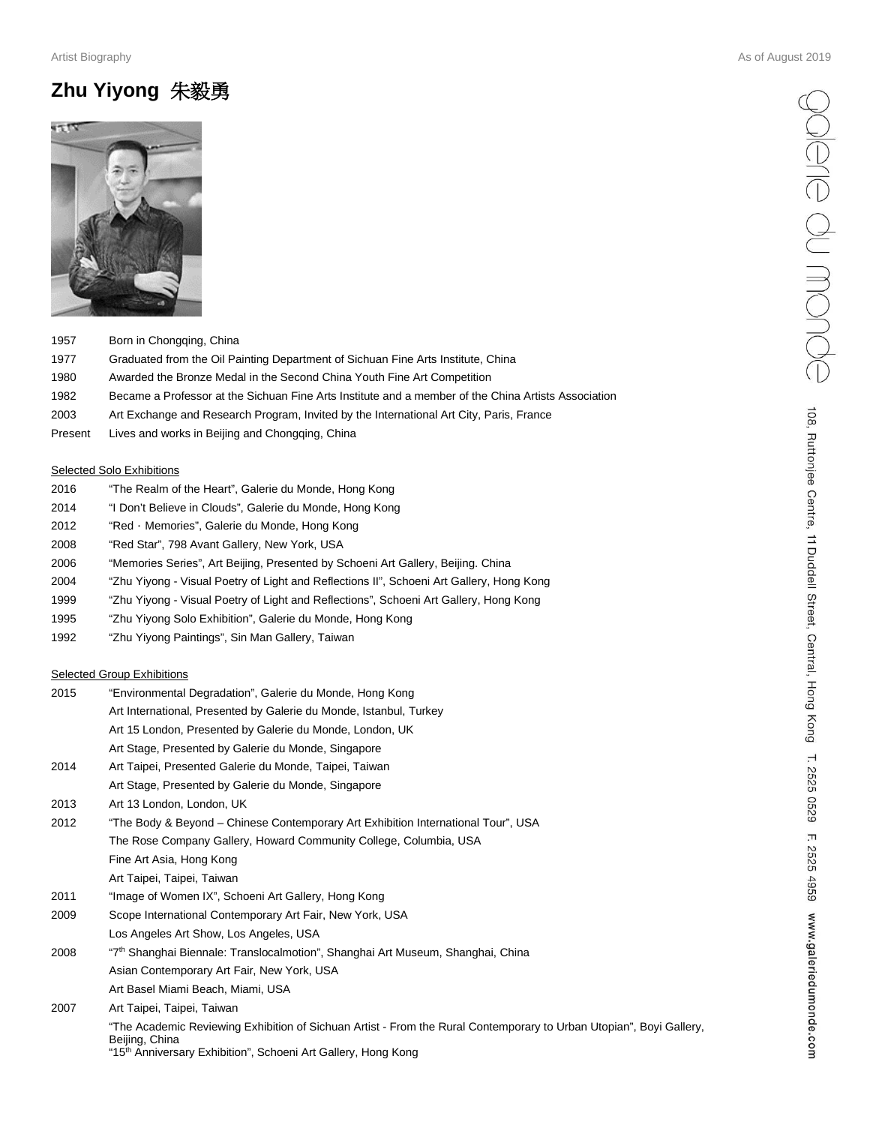#### Artist Biography As of August 2019

# **Zhu Yiyong** 朱毅勇



- 1957 Born in Chongqing, China
- 1977 Graduated from the Oil Painting Department of Sichuan Fine Arts Institute, China
- 1980 Awarded the Bronze Medal in the Second China Youth Fine Art Competition
- 1982 Became a Professor at the Sichuan Fine Arts Institute and a member of the China Artists Association
- 2003 Art Exchange and Research Program, Invited by the International Art City, Paris, France
- Present Lives and works in Beijing and Chongqing, China

#### **Selected Solo Exhibitions**

- 2016 "The Realm of the Heart", Galerie du Monde, Hong Kong
- 2014 "I Don't Believe in Clouds", Galerie du Monde, Hong Kong
- 2012 "Red · Memories", Galerie du Monde, Hong Kong
- 2008 "Red Star", 798 Avant Gallery, New York, USA
- 2006 "Memories Series", Art Beijing, Presented by Schoeni Art Gallery, Beijing. China
- 2004 "Zhu Yiyong Visual Poetry of Light and Reflections II", Schoeni Art Gallery, Hong Kong
- 1999 "Zhu Yiyong Visual Poetry of Light and Reflections", Schoeni Art Gallery, Hong Kong
- 1995 "Zhu Yiyong Solo Exhibition", Galerie du Monde, Hong Kong
- 1992 "Zhu Yiyong Paintings", Sin Man Gallery, Taiwan

#### Selected Group Exhibitions

| "Environmental Degradation", Galerie du Monde, Hong Kong                                                                                                                                                           |
|--------------------------------------------------------------------------------------------------------------------------------------------------------------------------------------------------------------------|
| Art International, Presented by Galerie du Monde, Istanbul, Turkey                                                                                                                                                 |
| Art 15 London, Presented by Galerie du Monde, London, UK                                                                                                                                                           |
| Art Stage, Presented by Galerie du Monde, Singapore                                                                                                                                                                |
| Art Taipei, Presented Galerie du Monde, Taipei, Taiwan                                                                                                                                                             |
| Art Stage, Presented by Galerie du Monde, Singapore                                                                                                                                                                |
| Art 13 London, London, UK                                                                                                                                                                                          |
| "The Body & Beyond - Chinese Contemporary Art Exhibition International Tour", USA                                                                                                                                  |
| The Rose Company Gallery, Howard Community College, Columbia, USA                                                                                                                                                  |
| Fine Art Asia, Hong Kong                                                                                                                                                                                           |
| Art Taipei, Taipei, Taiwan                                                                                                                                                                                         |
| "Image of Women IX", Schoeni Art Gallery, Hong Kong                                                                                                                                                                |
| Scope International Contemporary Art Fair, New York, USA                                                                                                                                                           |
| Los Angeles Art Show, Los Angeles, USA                                                                                                                                                                             |
| "7 <sup>th</sup> Shanghai Biennale: Translocalmotion", Shanghai Art Museum, Shanghai, China                                                                                                                        |
| Asian Contemporary Art Fair, New York, USA                                                                                                                                                                         |
| Art Basel Miami Beach, Miami, USA                                                                                                                                                                                  |
| Art Taipei, Taipei, Taiwan                                                                                                                                                                                         |
| "The Academic Reviewing Exhibition of Sichuan Artist - From the Rural Contemporary to Urban Utopian", Boyi Gallery,<br>Beijing, China<br>"15 <sup>th</sup> Anniversary Exhibition", Schoeni Art Gallery, Hong Kong |
|                                                                                                                                                                                                                    |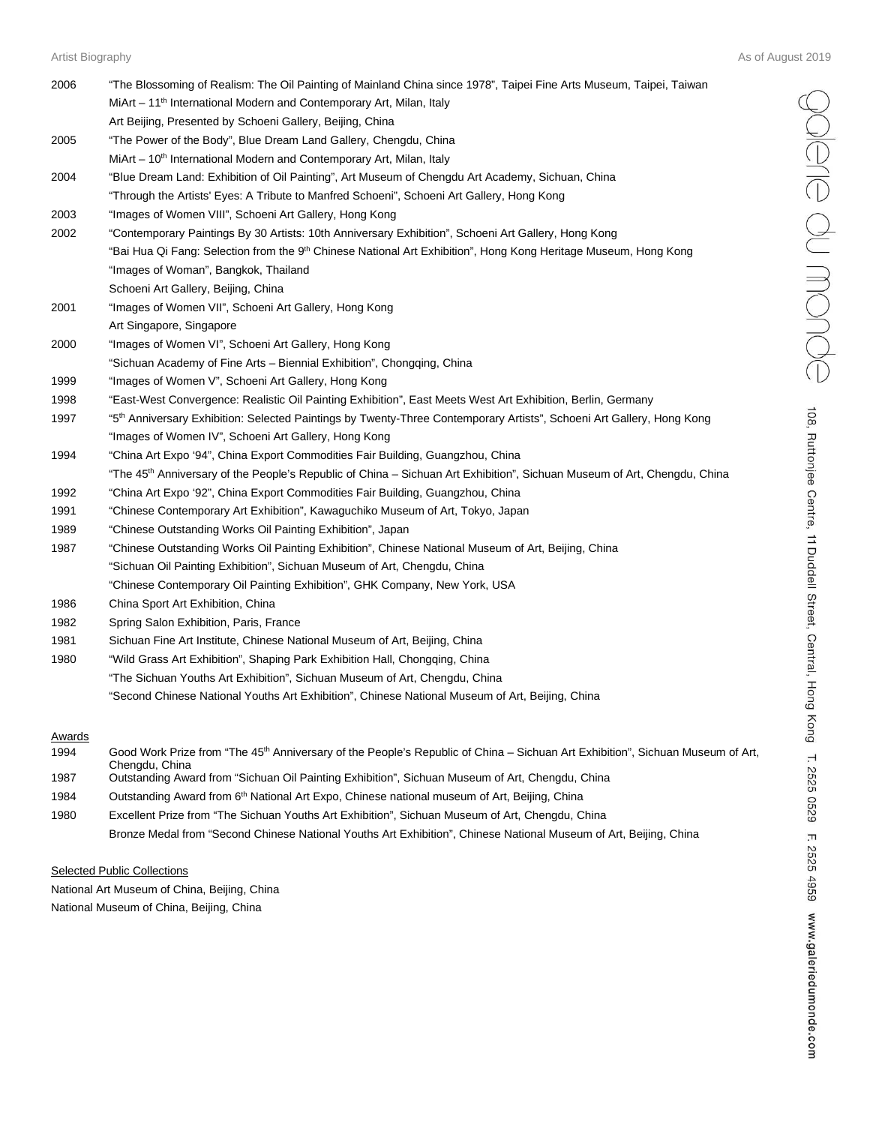Poleire du monde

108, Ruttonjee Centre, 11 Duddell Street, Central, Hong Kong T. 2525 0529 F. 2525 4959 www.galeriedumonde.com

| 2006 | "The Blossoming of Realism: The Oil Painting of Mainland China since 1978", Taipei Fine Arts Museum, Taipei, Taiwan                  |
|------|--------------------------------------------------------------------------------------------------------------------------------------|
|      | MiArt - 11 <sup>th</sup> International Modern and Contemporary Art, Milan, Italy                                                     |
|      | Art Beijing, Presented by Schoeni Gallery, Beijing, China                                                                            |
| 2005 | "The Power of the Body", Blue Dream Land Gallery, Chengdu, China                                                                     |
|      | MiArt - 10 <sup>th</sup> International Modern and Contemporary Art, Milan, Italy                                                     |
| 2004 | "Blue Dream Land: Exhibition of Oil Painting", Art Museum of Chengdu Art Academy, Sichuan, China                                     |
|      | "Through the Artists' Eyes: A Tribute to Manfred Schoeni", Schoeni Art Gallery, Hong Kong                                            |
| 2003 | "Images of Women VIII", Schoeni Art Gallery, Hong Kong                                                                               |
| 2002 | "Contemporary Paintings By 30 Artists: 10th Anniversary Exhibition", Schoeni Art Gallery, Hong Kong                                  |
|      | "Bai Hua Qi Fang: Selection from the 9 <sup>th</sup> Chinese National Art Exhibition", Hong Kong Heritage Museum, Hong Kong          |
|      | "Images of Woman", Bangkok, Thailand                                                                                                 |
|      | Schoeni Art Gallery, Beijing, China                                                                                                  |
| 2001 | "Images of Women VII", Schoeni Art Gallery, Hong Kong                                                                                |
|      | Art Singapore, Singapore                                                                                                             |
| 2000 | "Images of Women VI", Schoeni Art Gallery, Hong Kong                                                                                 |
|      | "Sichuan Academy of Fine Arts – Biennial Exhibition", Chongqing, China                                                               |
| 1999 | "Images of Women V", Schoeni Art Gallery, Hong Kong                                                                                  |
| 1998 | "East-West Convergence: Realistic Oil Painting Exhibition", East Meets West Art Exhibition, Berlin, Germany                          |
| 1997 | "5 <sup>th</sup> Anniversary Exhibition: Selected Paintings by Twenty-Three Contemporary Artists", Schoeni Art Gallery, Hong Kong    |
|      | "Images of Women IV", Schoeni Art Gallery, Hong Kong                                                                                 |
| 1994 | "China Art Expo '94", China Export Commodities Fair Building, Guangzhou, China                                                       |
|      | "The 45 <sup>th</sup> Anniversary of the People's Republic of China - Sichuan Art Exhibition", Sichuan Museum of Art, Chengdu, China |
| 1992 | "China Art Expo '92", China Export Commodities Fair Building, Guangzhou, China                                                       |
| 1991 | "Chinese Contemporary Art Exhibition", Kawaguchiko Museum of Art, Tokyo, Japan                                                       |
| 1989 | "Chinese Outstanding Works Oil Painting Exhibition", Japan                                                                           |
| 1987 | "Chinese Outstanding Works Oil Painting Exhibition", Chinese National Museum of Art, Beijing, China                                  |
|      | "Sichuan Oil Painting Exhibition", Sichuan Museum of Art, Chengdu, China                                                             |
|      | "Chinese Contemporary Oil Painting Exhibition", GHK Company, New York, USA                                                           |
| 1986 | China Sport Art Exhibition, China                                                                                                    |
| 1982 | Spring Salon Exhibition, Paris, France                                                                                               |
| 1981 | Sichuan Fine Art Institute, Chinese National Museum of Art, Beijing, China                                                           |
| 1980 | "Wild Grass Art Exhibition", Shaping Park Exhibition Hall, Chongqing, China                                                          |
|      | "The Sichuan Youths Art Exhibition", Sichuan Museum of Art, Chengdu, China                                                           |
|      | "Second Chinese National Youths Art Exhibition", Chinese National Museum of Art, Beijing, China                                      |
|      |                                                                                                                                      |
|      |                                                                                                                                      |

#### **Awards**

| 1994 | Good Work Prize from "The 45 <sup>th</sup> Anniversary of the People's Republic of China – Sichuan Art Exhibition", Sichuan Museum of Art, |
|------|--------------------------------------------------------------------------------------------------------------------------------------------|
|      | Chenadu. China                                                                                                                             |
| 1987 | Outstanding Award from "Sichuan Oil Painting Exhibition", Sichuan Museum of Art, Chengdu, China                                            |
| 1984 | Outstanding Award from 6 <sup>th</sup> National Art Expo, Chinese national museum of Art, Beijing, China                                   |
| 1980 | Excellent Prize from "The Sichuan Youths Art Exhibition", Sichuan Museum of Art, Chengdu, China                                            |
|      | Bronze Medal from "Second Chinese National Youths Art Exhibition", Chinese National Museum of Art, Beijing, China                          |

#### **Selected Public Collections**

National Art Museum of China, Beijing, China National Museum of China, Beijing, China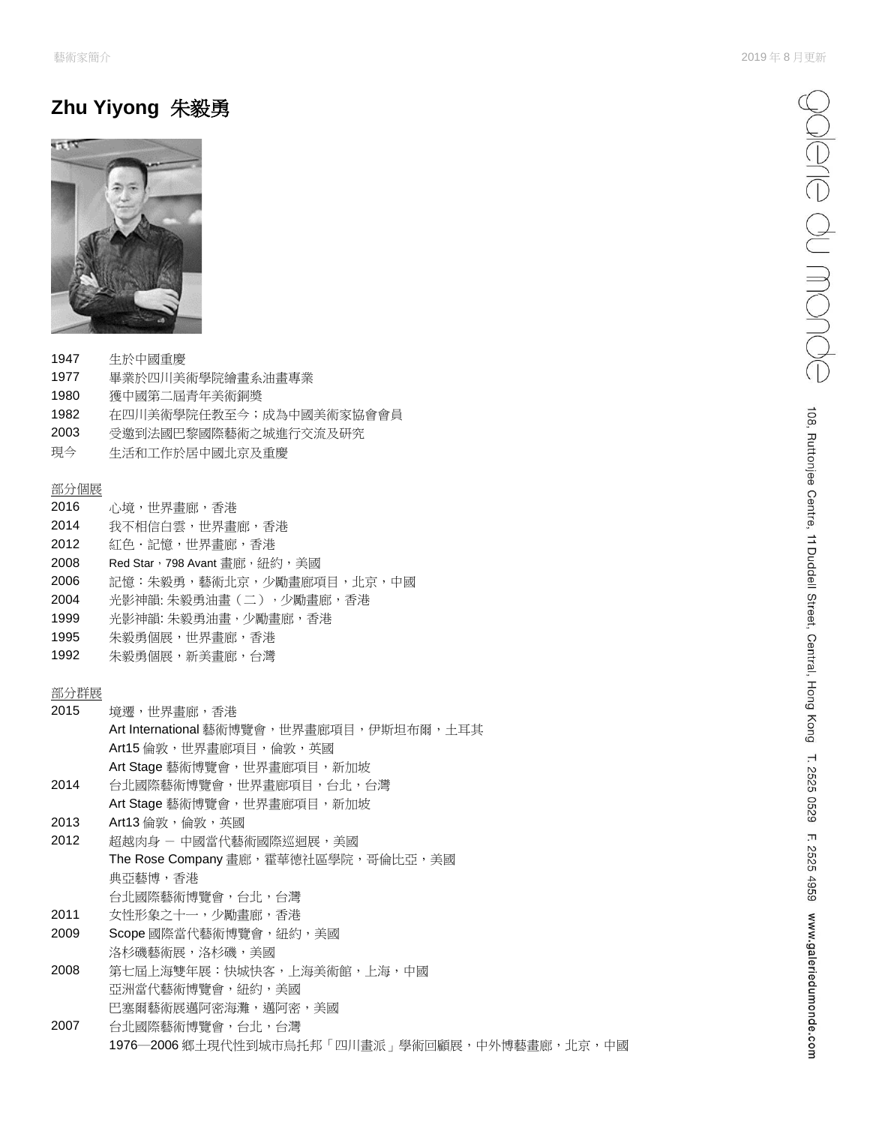## **Zhu Yiyong** 朱毅勇



- 1947 生於中國重慶
- 1977 畢業於四川美術學院繪畫系油畫專業
- 1980 獲中國第二屆青年美術銅奬
- 1982 在四川美術學院任教至今;成為中國美術家協會會員
- 2003 受邀到法國巴黎國際藝術之城進行交流及研究
- 現今 生活和工作於居中國北京及重慶

#### 部分個展

- 2016 心境,世界畫廊,香港
- 2014 我不相信白雲,世界畫廊,香港
- 2012 紅色·記憶,世界畫廊,香港
- 2008 Red Star, 798 Avant 畫廊, 紐約, 美國
- 2006 記憶:朱毅勇,藝術北京,少勵畫廊項目,北京,中國
- 2004 光影神韻: 朱毅勇油畫(二),少勵畫廊,香港
- 1999 光影神韻: 朱毅勇油畫,少勵畫廊,香港
- 1995 朱毅勇個展,世界畫廊,香港
- 1992 朱毅勇個展,新美畫廊,台灣

### 部分群展

| 2015 | 境遷,世界畫廊,香港                               |
|------|------------------------------------------|
|      | Art International 藝術博覽會,世界畫廊項目,伊斯坦布爾,土耳其 |
|      | Art15 倫敦,世界書廊項目,倫敦,英國                    |
|      | Art Stage 藝術博覽會,世界書廊項目,新加坡               |
| 2014 | 台北國際藝術博覽會,世界書廊項目,台北,台灣                   |
|      | Art Stage 藝術博覽會,世界畫廊項目,新加坡               |
|      |                                          |

- 2013 Art13 倫敦,倫敦, 英國 2012 超越肉身 - 中國當代藝術國際巡迴展,美國 The Rose Company 畫廊,霍華德社區學院,哥倫比亞,美國 典亞藝博,香港 台北國際藝術博覽會,台北,台灣
- 2011 女性形象之十一,少勵畫廊,香港 2009 Scope 國際當代藝術博覽會, 紐約, 美國
- 洛杉磯藝術展,洛杉磯,美國
- 2008 第七屆上海雙年展:快城快客,上海美術館,上海,中國 亞洲當代藝術博覽會,紐約,美國 巴塞爾藝術展邁阿密海灘,邁阿密,美國
- 2007 台北國際藝術博覽會,台北,台灣 1976—2006 鄉土現代性到城市烏托邦「四川畫派」學術回顧展,中外博藝畫廊,北京,中國